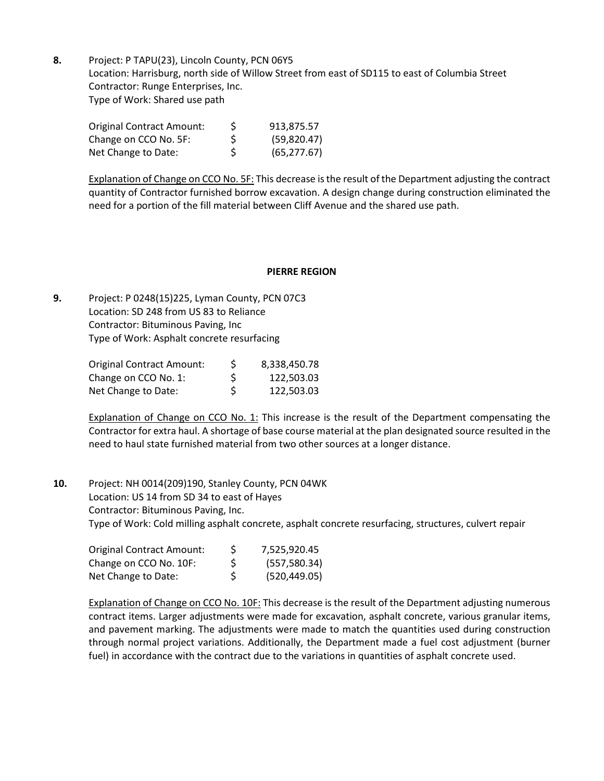**8.** Project: P TAPU(23), Lincoln County, PCN 06Y5 Location: Harrisburg, north side of Willow Street from east of SD115 to east of Columbia Street Contractor: Runge Enterprises, Inc. Type of Work: Shared use path

| Original Contract Amount: | S  | 913,875.57   |
|---------------------------|----|--------------|
| Change on CCO No. 5F:     | S  | (59,820.47)  |
| Net Change to Date:       | S. | (65, 277.67) |

Explanation of Change on CCO No. 5F: This decrease is the result of the Department adjusting the contract quantity of Contractor furnished borrow excavation. A design change during construction eliminated the need for a portion of the fill material between Cliff Avenue and the shared use path.

## **PIERRE REGION**

**9.** Project: P 0248(15)225, Lyman County, PCN 07C3 Location: SD 248 from US 83 to Reliance Contractor: Bituminous Paving, Inc Type of Work: Asphalt concrete resurfacing

| Original Contract Amount: | S | 8,338,450.78 |
|---------------------------|---|--------------|
| Change on CCO No. 1:      | S | 122,503.03   |
| Net Change to Date:       | Ś | 122,503.03   |

Explanation of Change on CCO No. 1: This increase is the result of the Department compensating the Contractor for extra haul. A shortage of base course material at the plan designated source resulted in the need to haul state furnished material from two other sources at a longer distance.

**10.** Project: NH 0014(209)190, Stanley County, PCN 04WK Location: US 14 from SD 34 to east of Hayes Contractor: Bituminous Paving, Inc. Type of Work: Cold milling asphalt concrete, asphalt concrete resurfacing, structures, culvert repair

| Original Contract Amount: | S | 7,525,920.45  |
|---------------------------|---|---------------|
| Change on CCO No. 10F:    | S | (557,580.34)  |
| Net Change to Date:       | S | (520, 449.05) |

Explanation of Change on CCO No. 10F: This decrease is the result of the Department adjusting numerous contract items. Larger adjustments were made for excavation, asphalt concrete, various granular items, and pavement marking. The adjustments were made to match the quantities used during construction through normal project variations. Additionally, the Department made a fuel cost adjustment (burner fuel) in accordance with the contract due to the variations in quantities of asphalt concrete used.